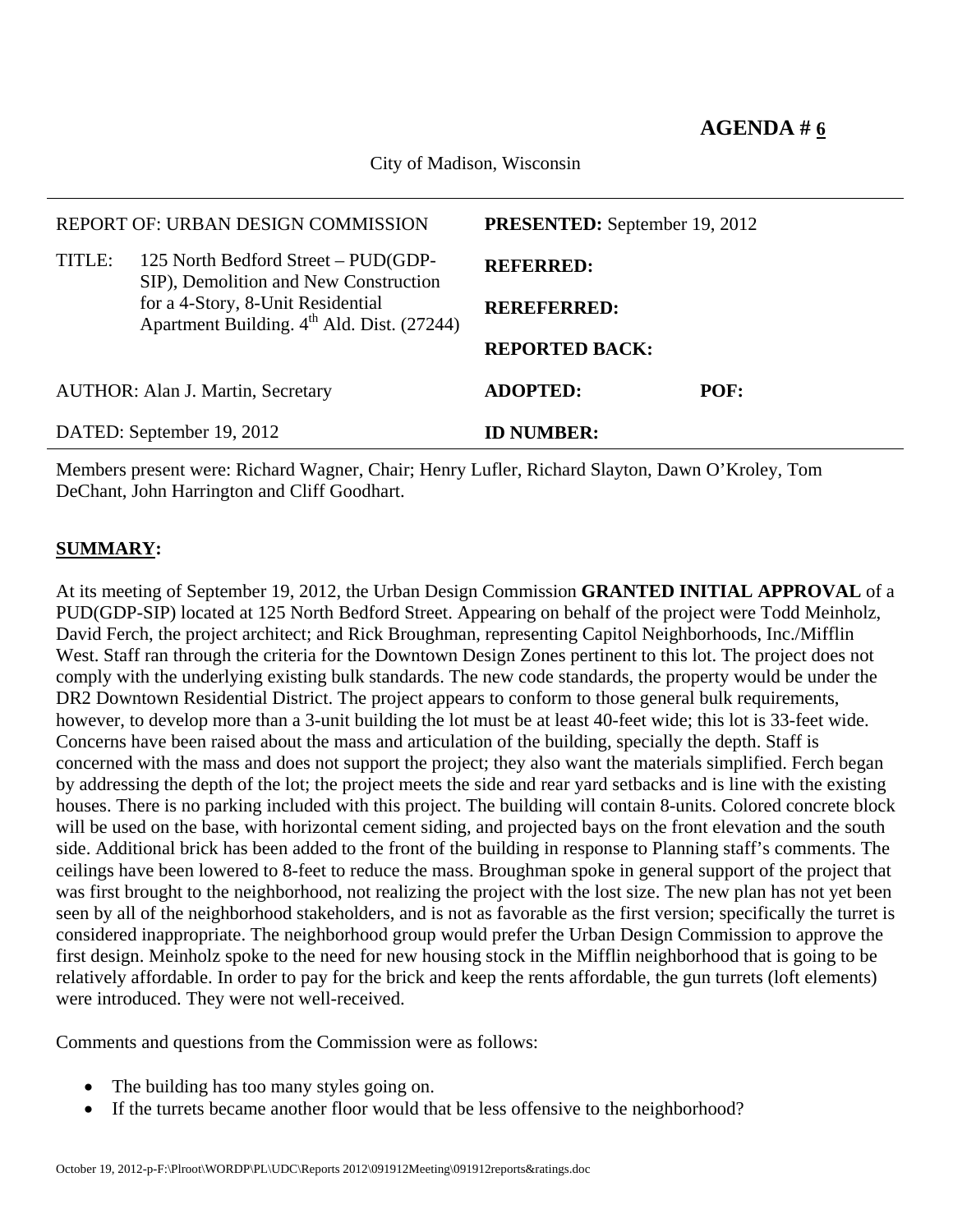City of Madison, Wisconsin

|                           | REPORT OF: URBAN DESIGN COMMISSION                                                          | <b>PRESENTED:</b> September 19, 2012 |      |  |  |
|---------------------------|---------------------------------------------------------------------------------------------|--------------------------------------|------|--|--|
| TITLE:                    | 125 North Bedford Street – PUD(GDP-<br>SIP), Demolition and New Construction                | <b>REFERRED:</b>                     |      |  |  |
|                           | for a 4-Story, 8-Unit Residential<br>Apartment Building. 4 <sup>th</sup> Ald. Dist. (27244) | <b>REREFERRED:</b>                   |      |  |  |
|                           |                                                                                             | <b>REPORTED BACK:</b>                |      |  |  |
|                           | <b>AUTHOR: Alan J. Martin, Secretary</b>                                                    | <b>ADOPTED:</b>                      | POF: |  |  |
| DATED: September 19, 2012 |                                                                                             | <b>ID NUMBER:</b>                    |      |  |  |

Members present were: Richard Wagner, Chair; Henry Lufler, Richard Slayton, Dawn O'Kroley, Tom DeChant, John Harrington and Cliff Goodhart.

## **SUMMARY:**

At its meeting of September 19, 2012, the Urban Design Commission **GRANTED INITIAL APPROVAL** of a PUD(GDP-SIP) located at 125 North Bedford Street. Appearing on behalf of the project were Todd Meinholz, David Ferch, the project architect; and Rick Broughman, representing Capitol Neighborhoods, Inc./Mifflin West. Staff ran through the criteria for the Downtown Design Zones pertinent to this lot. The project does not comply with the underlying existing bulk standards. The new code standards, the property would be under the DR2 Downtown Residential District. The project appears to conform to those general bulk requirements, however, to develop more than a 3-unit building the lot must be at least 40-feet wide; this lot is 33-feet wide. Concerns have been raised about the mass and articulation of the building, specially the depth. Staff is concerned with the mass and does not support the project; they also want the materials simplified. Ferch began by addressing the depth of the lot; the project meets the side and rear yard setbacks and is line with the existing houses. There is no parking included with this project. The building will contain 8-units. Colored concrete block will be used on the base, with horizontal cement siding, and projected bays on the front elevation and the south side. Additional brick has been added to the front of the building in response to Planning staff's comments. The ceilings have been lowered to 8-feet to reduce the mass. Broughman spoke in general support of the project that was first brought to the neighborhood, not realizing the project with the lost size. The new plan has not yet been seen by all of the neighborhood stakeholders, and is not as favorable as the first version; specifically the turret is considered inappropriate. The neighborhood group would prefer the Urban Design Commission to approve the first design. Meinholz spoke to the need for new housing stock in the Mifflin neighborhood that is going to be relatively affordable. In order to pay for the brick and keep the rents affordable, the gun turrets (loft elements) were introduced. They were not well-received.

Comments and questions from the Commission were as follows:

- The building has too many styles going on.
- If the turrets became another floor would that be less offensive to the neighborhood?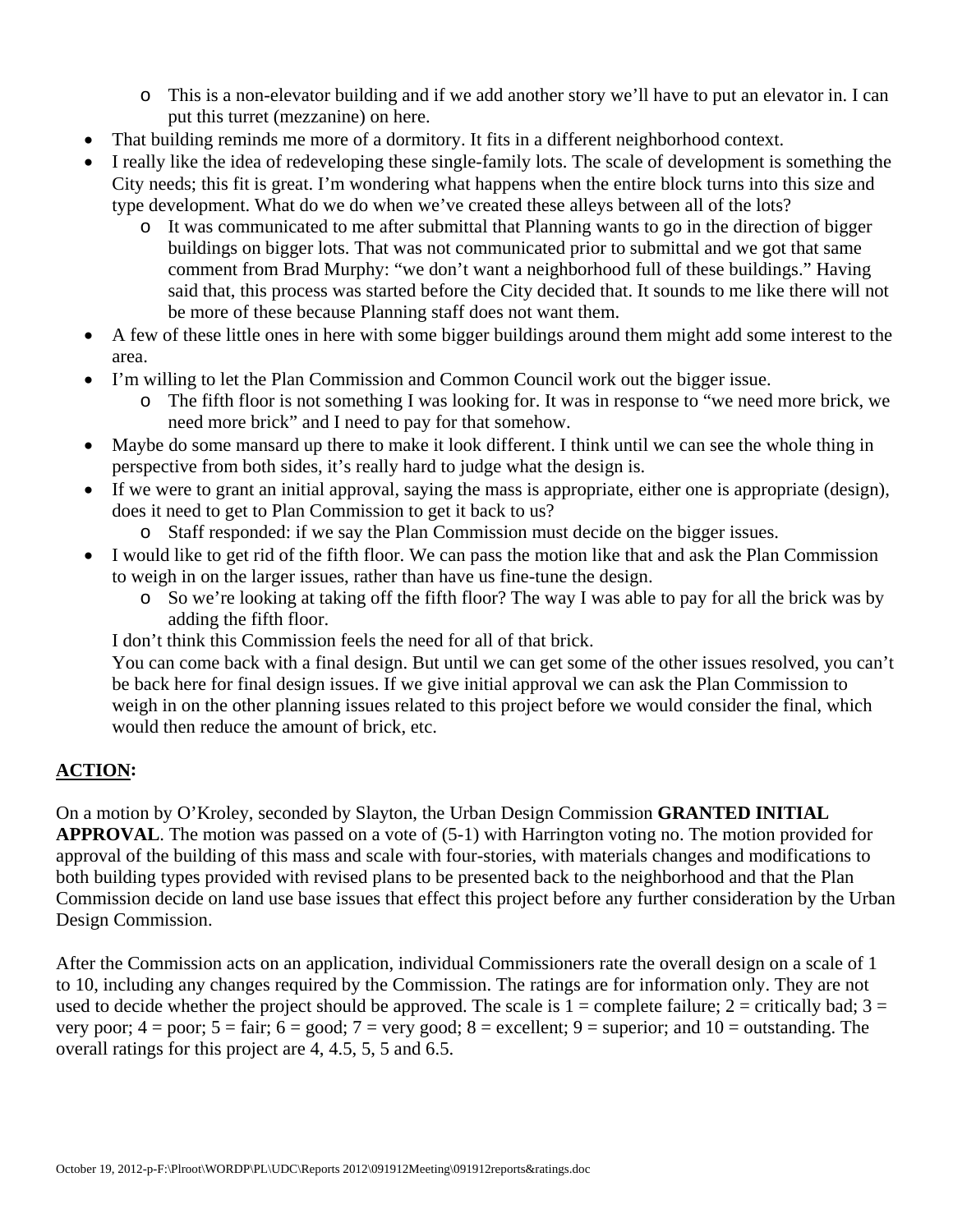- o This is a non-elevator building and if we add another story we'll have to put an elevator in. I can put this turret (mezzanine) on here.
- That building reminds me more of a dormitory. It fits in a different neighborhood context.
- I really like the idea of redeveloping these single-family lots. The scale of development is something the City needs; this fit is great. I'm wondering what happens when the entire block turns into this size and type development. What do we do when we've created these alleys between all of the lots?
	- o It was communicated to me after submittal that Planning wants to go in the direction of bigger buildings on bigger lots. That was not communicated prior to submittal and we got that same comment from Brad Murphy: "we don't want a neighborhood full of these buildings." Having said that, this process was started before the City decided that. It sounds to me like there will not be more of these because Planning staff does not want them.
- A few of these little ones in here with some bigger buildings around them might add some interest to the area.
- I'm willing to let the Plan Commission and Common Council work out the bigger issue.
	- o The fifth floor is not something I was looking for. It was in response to "we need more brick, we need more brick" and I need to pay for that somehow.
- Maybe do some mansard up there to make it look different. I think until we can see the whole thing in perspective from both sides, it's really hard to judge what the design is.
- If we were to grant an initial approval, saying the mass is appropriate, either one is appropriate (design), does it need to get to Plan Commission to get it back to us?
	- o Staff responded: if we say the Plan Commission must decide on the bigger issues.
- I would like to get rid of the fifth floor. We can pass the motion like that and ask the Plan Commission to weigh in on the larger issues, rather than have us fine-tune the design.
	- o So we're looking at taking off the fifth floor? The way I was able to pay for all the brick was by adding the fifth floor.

I don't think this Commission feels the need for all of that brick.

You can come back with a final design. But until we can get some of the other issues resolved, you can't be back here for final design issues. If we give initial approval we can ask the Plan Commission to weigh in on the other planning issues related to this project before we would consider the final, which would then reduce the amount of brick, etc.

## **ACTION:**

On a motion by O'Kroley, seconded by Slayton, the Urban Design Commission **GRANTED INITIAL APPROVAL**. The motion was passed on a vote of (5-1) with Harrington voting no. The motion provided for approval of the building of this mass and scale with four-stories, with materials changes and modifications to both building types provided with revised plans to be presented back to the neighborhood and that the Plan Commission decide on land use base issues that effect this project before any further consideration by the Urban Design Commission.

After the Commission acts on an application, individual Commissioners rate the overall design on a scale of 1 to 10, including any changes required by the Commission. The ratings are for information only. They are not used to decide whether the project should be approved. The scale is  $1 =$  complete failure;  $2 =$  critically bad;  $3 =$ very poor;  $4 =$  poor;  $5 =$  fair;  $6 =$  good;  $7 =$  very good;  $8 =$  excellent;  $9 =$  superior; and  $10 =$  outstanding. The overall ratings for this project are 4, 4.5, 5, 5 and 6.5.